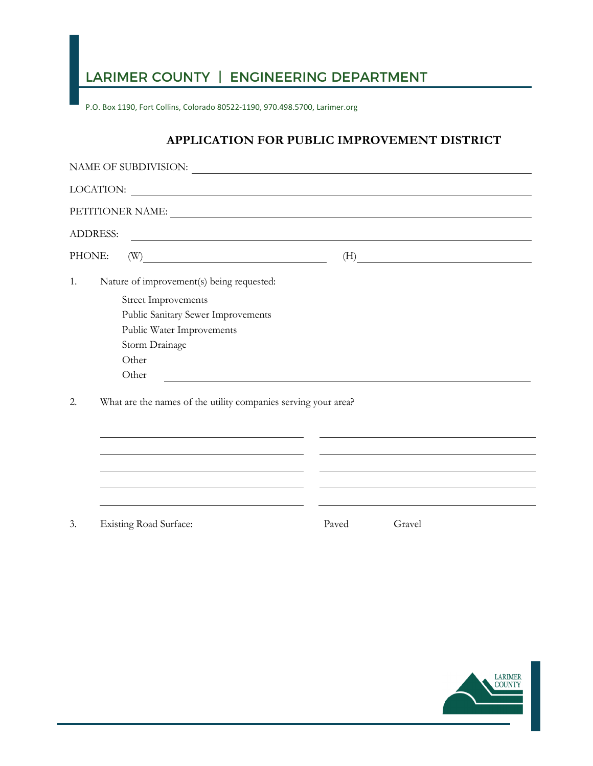## LARIMER COUNTY | ENGINEERING DEPARTMENT

P.O. Box 1190, Fort Collins, Colorado 80522-1190, 970.498.5700, Larimer.org

## **APPLICATION FOR PUBLIC IMPROVEMENT DISTRICT**

|                                                                      | LOCATION:<br><u> 1989 - Jan Barnett, fransk politiker (d. 1989)</u> |       |           |  |  |  |
|----------------------------------------------------------------------|---------------------------------------------------------------------|-------|-----------|--|--|--|
|                                                                      | PETITIONER NAME:                                                    |       |           |  |  |  |
| <b>ADDRESS:</b>                                                      | <u> 1989 - Johann Stoff, amerikansk politiker (d. 1989)</u>         |       |           |  |  |  |
| PHONE:                                                               | $\textbf{(W)} \label{eq:W}$                                         |       | $\tag{H}$ |  |  |  |
| 1.                                                                   | Nature of improvement(s) being requested:                           |       |           |  |  |  |
|                                                                      | <b>Street Improvements</b>                                          |       |           |  |  |  |
|                                                                      | Public Sanitary Sewer Improvements                                  |       |           |  |  |  |
|                                                                      | Public Water Improvements                                           |       |           |  |  |  |
|                                                                      | Storm Drainage                                                      |       |           |  |  |  |
|                                                                      | Other                                                               |       |           |  |  |  |
|                                                                      | Other                                                               |       |           |  |  |  |
| What are the names of the utility companies serving your area?<br>2. |                                                                     |       |           |  |  |  |
|                                                                      |                                                                     |       |           |  |  |  |
|                                                                      |                                                                     |       |           |  |  |  |
|                                                                      |                                                                     |       |           |  |  |  |
|                                                                      |                                                                     |       |           |  |  |  |
| 3.                                                                   | <b>Existing Road Surface:</b>                                       | Paved | Gravel    |  |  |  |

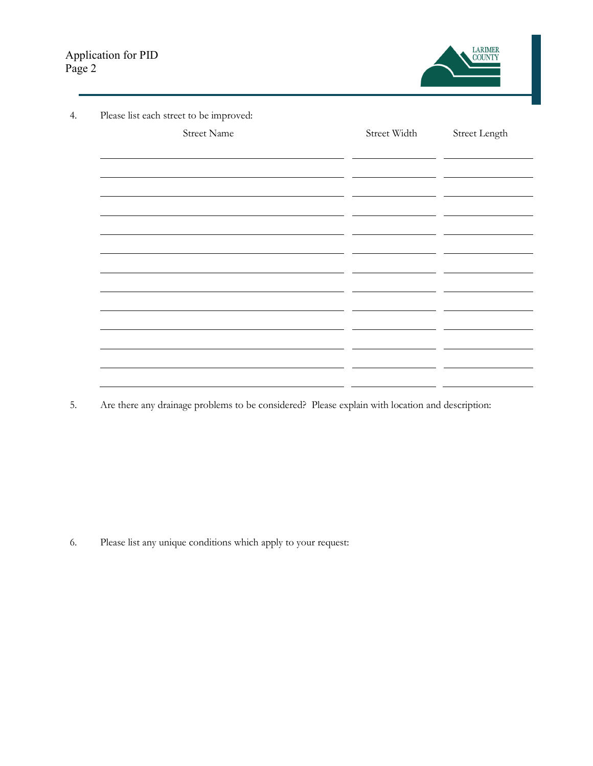

| Please list each street to be improved:                                                                               |                                                                                                                        |               |
|-----------------------------------------------------------------------------------------------------------------------|------------------------------------------------------------------------------------------------------------------------|---------------|
| <b>Street Name</b>                                                                                                    | Street Width                                                                                                           | Street Length |
|                                                                                                                       |                                                                                                                        |               |
|                                                                                                                       |                                                                                                                        |               |
|                                                                                                                       |                                                                                                                        |               |
| <u> 1980 - Jan Barnett, fransk kongresu og det ble større og det ble større og det ble større og det ble større o</u> |                                                                                                                        |               |
|                                                                                                                       |                                                                                                                        |               |
| <u> 1980 - Jan Stein Berlin, amerikan bisa di sebagai perang perang perang perang perang perang perang perang pe</u>  |                                                                                                                        |               |
|                                                                                                                       | <u> London a componente de la componente de la componente de la componente de la componente de la componente de la</u> | ---           |
|                                                                                                                       |                                                                                                                        |               |
|                                                                                                                       |                                                                                                                        |               |
| <u> 1980 - Jan Barbara, martin da basar da basar da basar da basar da basar da basar da basar da basar da basar</u>   |                                                                                                                        |               |
|                                                                                                                       |                                                                                                                        |               |
|                                                                                                                       | <u> 1980 - Jan Samuel Barbara, martin di</u><br>$\overline{\phantom{0}}$                                               |               |
|                                                                                                                       |                                                                                                                        |               |
|                                                                                                                       |                                                                                                                        |               |
|                                                                                                                       |                                                                                                                        |               |
|                                                                                                                       |                                                                                                                        |               |

5. Are there any drainage problems to be considered? Please explain with location and description:

6. Please list any unique conditions which apply to your request: